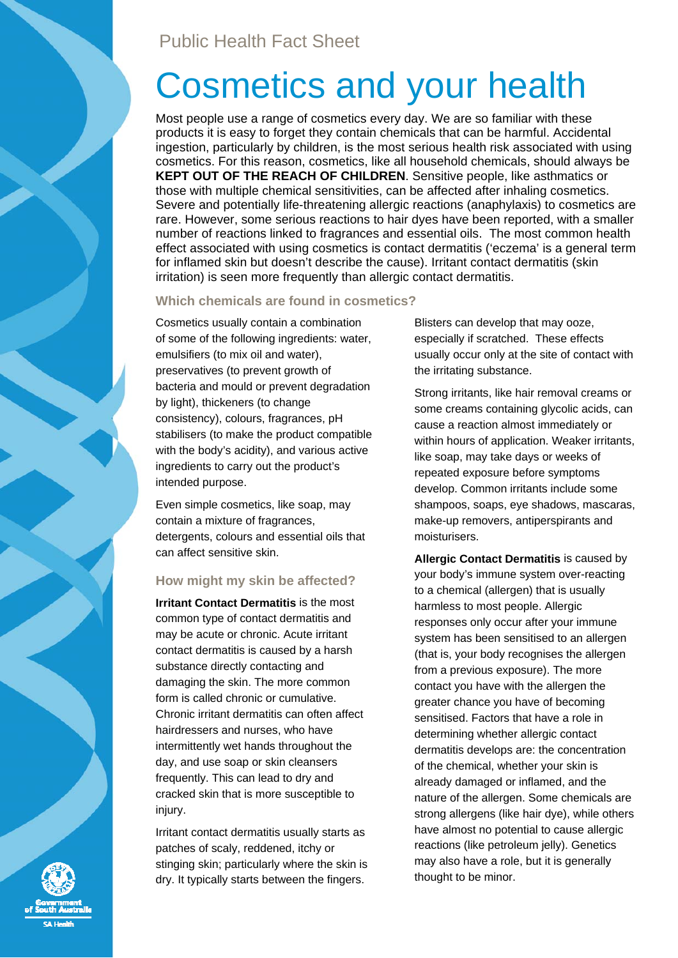# Cosmetics and your health

Most people use a range of cosmetics every day. We are so familiar with these products it is easy to forget they contain chemicals that can be harmful. Accidental ingestion, particularly by children, is the most serious health risk associated with using cosmetics. For this reason, cosmetics, like all household chemicals, should always be **KEPT OUT OF THE REACH OF CHILDREN**. Sensitive people, like asthmatics or those with multiple chemical sensitivities, can be affected after inhaling cosmetics. Severe and potentially life-threatening allergic reactions (anaphylaxis) to cosmetics are rare. However, some serious reactions to hair dyes have been reported, with a smaller number of reactions linked to fragrances and essential oils. The most common health effect associated with using cosmetics is contact dermatitis ('eczema' is a general term for inflamed skin but doesn't describe the cause). Irritant contact dermatitis (skin irritation) is seen more frequently than allergic contact dermatitis.

## **Which chemicals are found in cosmetics?**

Cosmetics usually contain a combination of some of the following ingredients: water, emulsifiers (to mix oil and water), preservatives (to prevent growth of bacteria and mould or prevent degradation by light), thickeners (to change consistency), colours, fragrances, pH stabilisers (to make the product compatible with the body's acidity), and various active ingredients to carry out the product's intended purpose.

Even simple cosmetics, like soap, may contain a mixture of fragrances, detergents, colours and essential oils that can affect sensitive skin.

# **How might my skin be affected?**

**Irritant Contact Dermatitis** is the most common type of contact dermatitis and may be acute or chronic. Acute irritant contact dermatitis is caused by a harsh substance directly contacting and damaging the skin. The more common form is called chronic or cumulative. Chronic irritant dermatitis can often affect hairdressers and nurses, who have intermittently wet hands throughout the day, and use soap or skin cleansers frequently. This can lead to dry and cracked skin that is more susceptible to injury.

Irritant contact dermatitis usually starts as patches of scaly, reddened, itchy or stinging skin; particularly where the skin is dry. It typically starts between the fingers.

Blisters can develop that may ooze, especially if scratched. These effects usually occur only at the site of contact with the irritating substance.

Strong irritants, like hair removal creams or some creams containing glycolic acids, can cause a reaction almost immediately or within hours of application. Weaker irritants, like soap, may take days or weeks of repeated exposure before symptoms develop. Common irritants include some shampoos, soaps, eye shadows, mascaras, make-up removers, antiperspirants and moisturisers.

**Allergic Contact Dermatitis** is caused by your body's immune system over-reacting to a chemical (allergen) that is usually harmless to most people. Allergic responses only occur after your immune system has been sensitised to an allergen (that is, your body recognises the allergen from a previous exposure). The more contact you have with the allergen the greater chance you have of becoming sensitised. Factors that have a role in determining whether allergic contact dermatitis develops are: the concentration of the chemical, whether your skin is already damaged or inflamed, and the nature of the allergen. Some chemicals are strong allergens (like hair dye), while others have almost no potential to cause allergic reactions (like petroleum jelly). Genetics may also have a role, but it is generally thought to be minor.

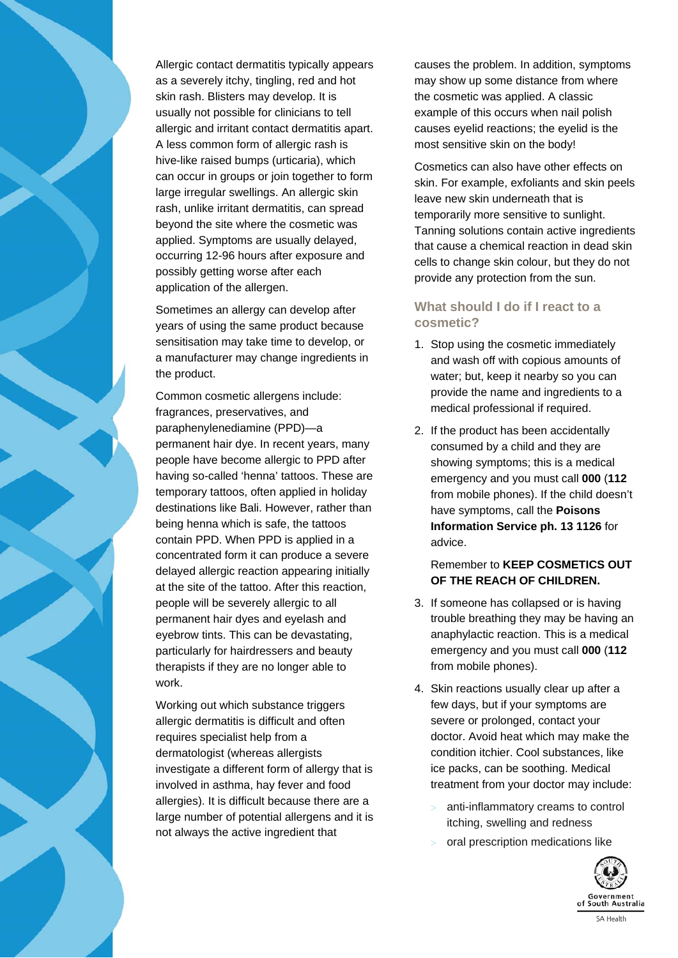

Allergic contact dermatitis typically appears as a severely itchy, tingling, red and hot skin rash. Blisters may develop. It is usually not possible for clinicians to tell allergic and irritant contact dermatitis apart. A less common form of allergic rash is hive-like raised bumps (urticaria), which can occur in groups or join together to form large irregular swellings. An allergic skin rash, unlike irritant dermatitis, can spread beyond the site where the cosmetic was applied. Symptoms are usually delayed, occurring 12-96 hours after exposure and possibly getting worse after each application of the allergen.

Sometimes an allergy can develop after years of using the same product because sensitisation may take time to develop, or a manufacturer may change ingredients in the product.

Common cosmetic allergens include: fragrances, preservatives, and paraphenylenediamine (PPD)—a permanent hair dye. In recent years, many people have become allergic to PPD after having so-called 'henna' tattoos. These are temporary tattoos, often applied in holiday destinations like Bali. However, rather than being henna which is safe, the tattoos contain PPD. When PPD is applied in a concentrated form it can produce a severe delayed allergic reaction appearing initially at the site of the tattoo. After this reaction, people will be severely allergic to all permanent hair dyes and eyelash and eyebrow tints. This can be devastating, particularly for hairdressers and beauty therapists if they are no longer able to work.

Working out which substance triggers allergic dermatitis is difficult and often requires specialist help from a dermatologist (whereas allergists investigate a different form of allergy that is involved in asthma, hay fever and food allergies). It is difficult because there are a large number of potential allergens and it is not always the active ingredient that

causes the problem. In addition, symptoms may show up some distance from where the cosmetic was applied. A classic example of this occurs when nail polish causes eyelid reactions; the eyelid is the most sensitive skin on the body!

Cosmetics can also have other effects on skin. For example, exfoliants and skin peels leave new skin underneath that is temporarily more sensitive to sunlight. Tanning solutions contain active ingredients that cause a chemical reaction in dead skin cells to change skin colour, but they do not provide any protection from the sun.

## **What should I do if I react to a cosmetic?**

- 1. Stop using the cosmetic immediately and wash off with copious amounts of water; but, keep it nearby so you can provide the name and ingredients to a medical professional if required.
- 2. If the product has been accidentally consumed by a child and they are showing symptoms; this is a medical emergency and you must call **000** (**112**  from mobile phones). If the child doesn't have symptoms, call the **Poisons Information Service ph. 13 1126** for advice.

## Remember to **KEEP COSMETICS OUT OF THE REACH OF CHILDREN.**

- 3. If someone has collapsed or is having trouble breathing they may be having an anaphylactic reaction. This is a medical emergency and you must call **000** (**112**  from mobile phones).
- 4. Skin reactions usually clear up after a few days, but if your symptoms are severe or prolonged, contact your doctor. Avoid heat which may make the condition itchier. Cool substances, like ice packs, can be soothing. Medical treatment from your doctor may include:
	- anti-inflammatory creams to control itching, swelling and redness
	- oral prescription medications like